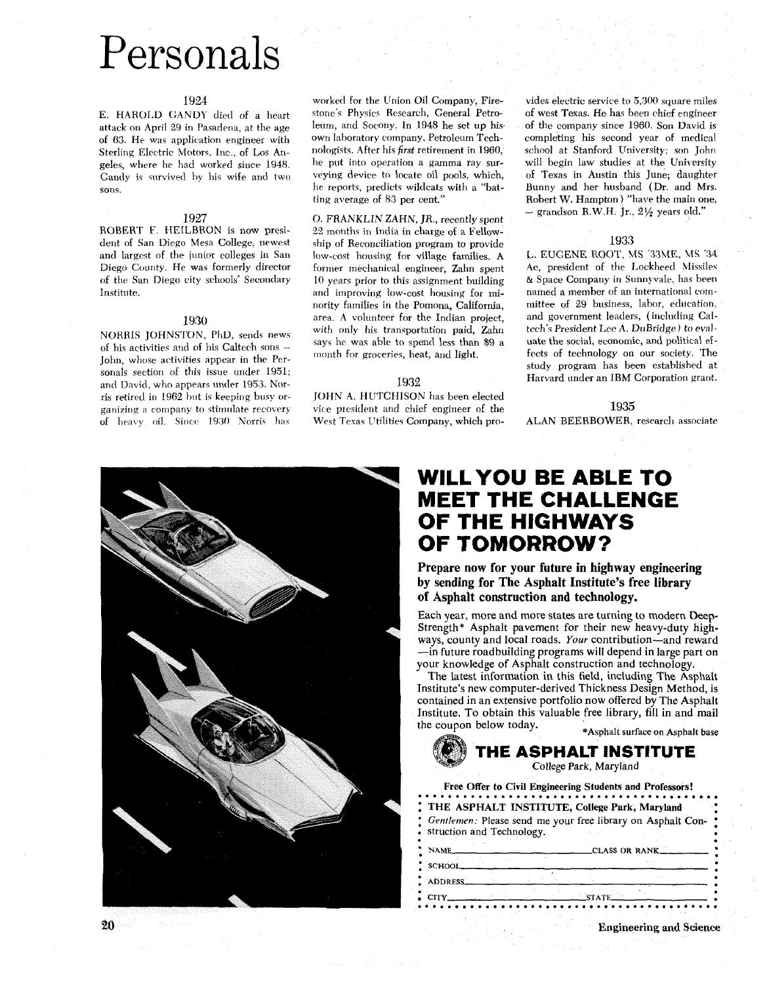## Personals

## 1924

E. HAROLD GANDY died of a heart attack on April 29 in Pasadena, at the age of *63.* He was application engineer with Sterling Electric Motors, Inc., of Los Arigeles, where he had worked since 1948. Gandy is survived **by** his wife and two sons.

## 1927

ROBERT F. HEILBRON is now president of San Diego Mesa College, newest and largest of the junior colleges in San Diego County. He was formerly director of the San Diego city schools' Secondary Institute.

## 1930

NORRIS JOHNSTON, PhD, sends news of his activities and of his Caltech sons -John, whose activities appear in the Personals section of this issue under 1951; and David, who appears under 1953. Norris retired in 1962 but is keeping busy organizing a company to stimulate recovery of heavy oil. Since 1930 Norris has

worked for the Union Oil Company, Firestone's Physics Research, General Petroleum, and Socony. In 1948 he set up his own laboratory company, Petroleum Technologists. After his first retirement in 1960, he put into operation a gamma ray surveying device to locate oil pools, which, he reports, predicts wildcats with a "batting average of 83 per cent."

0. FRANKLIN ZAHN, *JR.,* recently spent 22 months in India in charge of a Fellowship of Reconciliation program to provide low-cost housing for village families. **A**  former mechanical engineer, Zahn spent 10 years prior to this assignment building and improving low-cost housing for minority families in the Pornona, California, area. A volunteer for the Indian project, with only his transportation paid, Zahn says he was able to spend less than \$9 a month for groceries, heat, and light.

## 1932

[OHN A. HUTCHISON has been elected vice president and chief engineer of the West Texas Utilities Company, which pro-

vides electric service to *5,300* square miles of west Texas. He has been chief engineer of the company since 1960. Son David is completing his second year of medical school at Stanford University; son John will begin law studies at the University of Texas in Austin this June; daughter Bunny and her husband (Dr. and Mrs. Robert W. Hampton ) "have the main one, - grandson R.W.H. Jr., *2%* years old."

## 1933

L. EUGENE ROOT, US 'SSME, **MS ':34**  Ae, president of the Lockheed Missiles & Space Company in Sunnyvale, has been named a member of an international committee of 29 business, labor, education, and government leaders, (including Caltech's President Lee **A.** DuBridge) to evaluate the social, economic, and political effects of technology on our society. The study program has been established at Harvard under an IBM Corporation grant.

## 1935

ALAN BEERBOWER, researcli associate

## **WILLYOU BE ABLE TO MEET THE CHALLENGE OF THE HIGHWAYS OF TOMORROW?**

**Prepare now for your future in highway engineering by sending for The Asphalt Institute's free library of Asphalt construction and technology.** 

Each year, more and more states are turning to modern Deep-Strength\* Asphalt pavement for their new heavy-duty highways, county and local roads. *Your* contribution-and reward -in future roadbuilding programs will depend in large part on your knowledge of Asphalt construction and technology.

The latest information in this field, including The **Asphalt**  Institute's new computer-derived Thickness Design Method, is contained in an extensive portfolio now offered by The Asphalt Institute. To obtain this valuable free library, fill in and mail the coupon below today. \*Asphalt surface on Asphalt **base** 

## **THE ASPHALT INSTITUTE**  College Park, Maryland

|                     | THE ASPHALT INSTITUTE, College Park, Maryland                                              |  |
|---------------------|--------------------------------------------------------------------------------------------|--|
|                     | : Gentlemen: Please send me your free library on Asphalt Con-<br>struction and Technology. |  |
| NAME_               | CLASS OR RANK___                                                                           |  |
|                     |                                                                                            |  |
|                     |                                                                                            |  |
| SCHOOL.<br>ADDRESS_ |                                                                                            |  |

**Engineering and Science** 



 $20$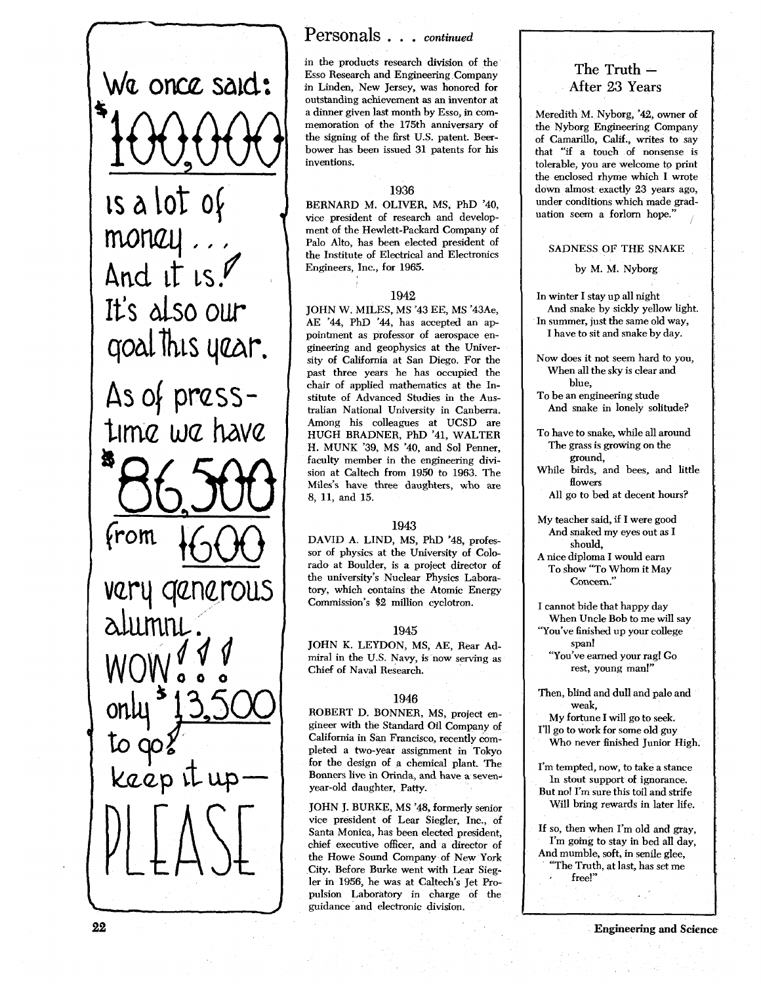**om** said: <sup>1</sup>**is** & lot of  $\text{monay}$ ,  $\left\{\right.$ And it

It's also our<br>goal this year.

As of  $pres-$ 

time we have

nerous

## Personals . . . *continued*

in the products research division of the Esso Research and Engineering Company in Linden, New Jersey, was honored for outstanding achievement as an inventor at a dinner given last month by Esso, in commemoration of the 175th anniversary of the signing of the first U.S. patent. Beerbower has been issued 31 patents for his inventions.

## **1936**

BERNARD M. OLIVER, MS, PhD '40, vice president of research and development of the Hewlett-Packard Company of Palo Alto, has been elected president of the Institute of Electrical and Electronics Engineers, Inc., for 1965.

## **1942**

JOHN W. MILES, MS '43 EE, MS '43Ae, AE '44, PhD '44, has accepted an appointment as professor of aerospace engineering and geophysics at the University of California at San Diego. For the past three years he has occupied the chair of applied mathematics at the Institute of Advanced Studies in the Australian National University in Canberra. Among his colleagues at UCSD are HUGH BRADNER, PhD '41, WALTER H. MUNK '39, MS '40, and Sol Penner, faculty member in the engineering division at Caltech from 1950 to 1963. The Miles's have three daughters, who are 8, 11, and 15.

## **1943**

DAVID A. LIND, MS, PhD '48, professor of physics at the University of Colorado at Boulder, is a project director of the university's Nuclear Physics Laboratory, which contains the Atomic Energy Commission's \$2 million cyclotron.

## **1945**

JOHN K. LEYDON, MS, AE, Rear Admiral in the U.S. Navy, is now serving as Chief of Naval Research.

## **1946**

ROBERT D. BONNER, MS, project engineer with the Standard Oil Company of California in San Francisco, recently completed a two-year assignment in Tokyo for the design of a chemical plant. The Bonners live in Orinda, and have a sevenyear-old daughter, Patty.

JOHN J. BURKE, MS '48, formerly senior vice president of Lear Siegler, Inc., of Santa Monica, has been elected president, chief executive officer, and a director of the Howe Sound Company of New York City. Before Burke went with Lear Siegler in 1956, he was at Caltech's Jet Propulsion Laboratory in charge of the guidance and electronic division.

## **The Truth** - **After 23 Years**

Meredith M. Nyborg, '42, owner of the Nyborg Engineering Company of Camarilla, Calif., writes to say that "if a touch of nonsense is tolerable, you are welcome to print the enclosed rhyme which I wrote down almost exactly 23 years ago, under conditions which made graduation seem a forlorn hope.'

#### SADNESS OF THE SNAKE

by M. M. Nyborg

In winter I stay up all night And snake by sickly yellow light. In summer, just the same old way, I have to sit and snake by day.

Now does it not seem hard to you, When all the sky is clear and blue,

To be an engineering stude And snake in lonely solitude?

To have to snake, while all around The grass is growing on the ground,

While birds, and bees, and little flowers

All go to bed at decent hours?

- My teacher said, if I were good And snaked my eyes out as I should,
- A nice diploma I would earn To show "To Whom it May Concern."
- I cannot bide that happy day When Uncle Bob to me will say "You've finished up your college span! "You've earned your rag! Go

rest, young man!"

Then, blind and dull and pale and weak,

My fortune I will go to seek. I'll go to work for some old guy

Who never finished Junior High.

I'm tempted, now, to take a stance In stout support of ignorance. But no! I'm sure this toil and strife Will bring rewards in later life.

If so, then when I'm old and gray, I'm going to stay in bed all day, And mumble, soft, in senile glee, "The Truth, at last, has set me free!"

Engineering and Science

22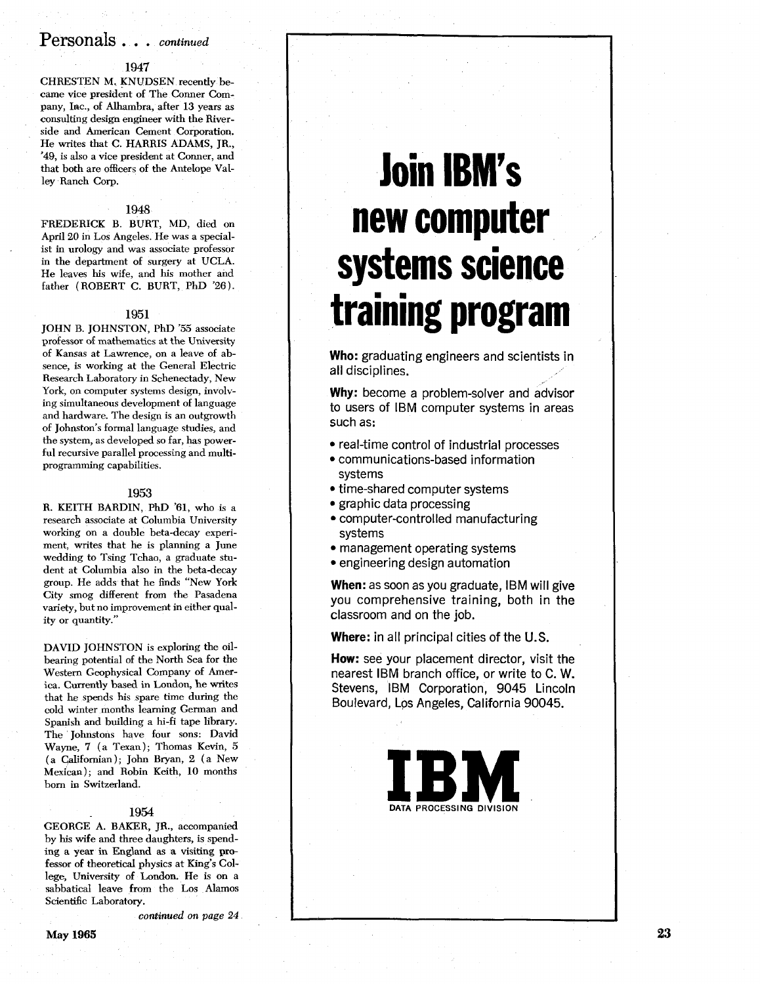## Personals . . . **continued**

## **1947**

CHRESTEN M. KNUDSEN recently became vice president of The Conner Company, Inc., of Alhambra, after 13 years **as**  consulting design engineer with the Riverside and American Cement Corporation. He writes that C. HARRIS ADAMS, JR., '49, is also a vice president at Conner, and that both are officers of the Antelope Valley Ranch Corp.

#### **1948**

FREDERICK B. BURT, MD, died on April 20 in Los Angeles. He was a specialist in urology and was associate professor in the department of surgery at UCLA. He leaves his wife, and his mother and father (ROBERT C. BURT, PhD '26).

#### **1951**

JOHN B. JOHNSTON, PhD '55 associate professor of mathematics at the University of Kansas at Lawrence, on a leave of absence, is working at the General Electric Research Laboratory in Schenectady, New York, on computer systems design, involving simultaneous development of language and hardware. The design is an outgrowth of Johnston's formal language studies, and the system, as developed so far, has powerful recursive parallel processing and multiprogramming capabilities.

#### **1953**

R. KEITH BARDIN, PhD '61, who is a research associate at Columbia University working on a double beta-decay experiment, writes that he is planning a June wedding to Tsing Tchao, a graduate student at Columbia also in the beta-decay group. He adds that he finds "New York City smog different from the Pasadena variety, but no improvement in either quality or quantity."

DAVID JOHNSTON is exploring the oilbearing potential of the North Sea for the Western Geophysical Company of America. Currently **based** in London, he writes that he spends his spare time during the cold winter months learning German and Spanish and building a hi-fi tape library. The Johnstons have four sons: David Wayne, 7 (a Texan); Thomas Kevin, 5 (a Qalifornian); John Bryan, 2 (a New Mexican); and Robin Keith, 10 months born in Switzerland.

#### **1954**

GEORGE A. BAKER, JR., accompanied by his wife and three daughters, is spending a year in England as a visiting professor of theoretical physics at King's College, University of London. He is on a sabbatical leave from the Los Alamos Scientific Laboratory.

**continued** on page 24

# **Join IBM's new computer systems science training program**

**Who:** graduating engineers and scientists in all disciplines.

**Why:** become a problem-solver and advisor to users of IBM computer systems in areas such as:

- real-time control of industrial processes
- communications-based information systems
- time-shared computer systems
- graphic data processing
- computer-controlled manufacturing systems
- management operating systems
- engineering design automation

**When:** as soon as you graduate, IBM will give you comprehensive training, both in the classroom and on the job.

**Where:** in all principal cities of the U.S.

**How:** see your placement director, visit the nearest IBM branch office, or write to C. W. Stevens, IBM Corporation, 9045 Lincoln Boulevard, Lps Angeles, California 90045.